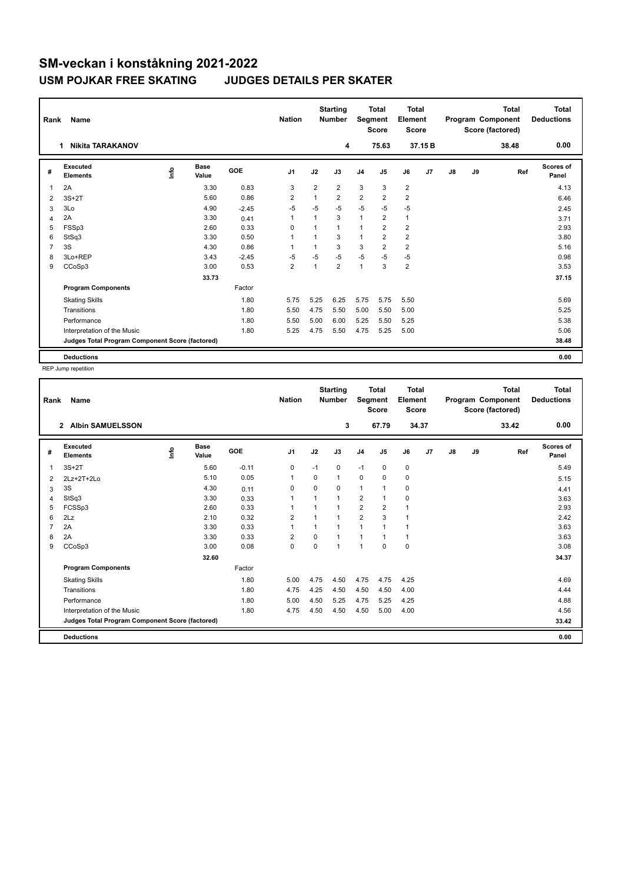## **SM-veckan i konståkning 2021-2022 USM POJKAR FREE SKATING JUDGES DETAILS PER SKATER**

| Rank | Name                                            |      |                      |            | <b>Nation</b>           |                | <b>Starting</b><br><b>Number</b> | Segment        | <b>Total</b><br><b>Score</b> | Total<br>Element<br><b>Score</b> |        | Total<br>Program Component<br>Score (factored) |    |       | Total<br><b>Deductions</b> |
|------|-------------------------------------------------|------|----------------------|------------|-------------------------|----------------|----------------------------------|----------------|------------------------------|----------------------------------|--------|------------------------------------------------|----|-------|----------------------------|
|      | <b>Nikita TARAKANOV</b><br>1                    |      |                      |            |                         |                | 4                                |                | 75.63                        |                                  | 37.15B |                                                |    | 38.48 | 0.00                       |
| #    | Executed<br><b>Elements</b>                     | lnfo | <b>Base</b><br>Value | <b>GOE</b> | J <sub>1</sub>          | J2             | J3                               | J <sub>4</sub> | J5                           | J6                               | J7     | J8                                             | J9 | Ref   | <b>Scores of</b><br>Panel  |
| 1    | 2A                                              |      | 3.30                 | 0.83       | 3                       | $\overline{2}$ | $\overline{2}$                   | 3              | 3                            | $\overline{2}$                   |        |                                                |    |       | 4.13                       |
| 2    | $3S+2T$                                         |      | 5.60                 | 0.86       | $\overline{\mathbf{c}}$ | 1              | $\overline{2}$                   | $\overline{2}$ | $\overline{2}$               | $\overline{2}$                   |        |                                                |    |       | 6.46                       |
| 3    | 3Lo                                             |      | 4.90                 | $-2.45$    | $-5$                    | $-5$           | $-5$                             | $-5$           | $-5$                         | $-5$                             |        |                                                |    |       | 2.45                       |
| 4    | 2A                                              |      | 3.30                 | 0.41       | 1                       | $\mathbf{1}$   | 3                                | $\mathbf{1}$   | $\overline{2}$               | $\mathbf{1}$                     |        |                                                |    |       | 3.71                       |
| 5    | FSSp3                                           |      | 2.60                 | 0.33       | $\Omega$                |                | $\mathbf{1}$                     | 1              | $\overline{2}$               | $\overline{2}$                   |        |                                                |    |       | 2.93                       |
| 6    | StSq3                                           |      | 3.30                 | 0.50       | 1                       |                | 3                                | 1              | $\overline{2}$               | $\overline{2}$                   |        |                                                |    |       | 3.80                       |
| 7    | 3S                                              |      | 4.30                 | 0.86       | $\overline{1}$          | $\overline{1}$ | 3                                | 3              | $\overline{2}$               | $\overline{2}$                   |        |                                                |    |       | 5.16                       |
| 8    | 3Lo+REP                                         |      | 3.43                 | $-2.45$    | $-5$                    | $-5$           | $-5$                             | $-5$           | $-5$                         | $-5$                             |        |                                                |    |       | 0.98                       |
| 9    | CCoSp3                                          |      | 3.00                 | 0.53       | $\overline{\mathbf{c}}$ | $\mathbf{1}$   | $\overline{2}$                   | $\mathbf{1}$   | 3                            | $\overline{2}$                   |        |                                                |    |       | 3.53                       |
|      |                                                 |      | 33.73                |            |                         |                |                                  |                |                              |                                  |        |                                                |    |       | 37.15                      |
|      | <b>Program Components</b>                       |      |                      | Factor     |                         |                |                                  |                |                              |                                  |        |                                                |    |       |                            |
|      | <b>Skating Skills</b>                           |      |                      | 1.80       | 5.75                    | 5.25           | 6.25                             | 5.75           | 5.75                         | 5.50                             |        |                                                |    |       | 5.69                       |
|      | Transitions                                     |      |                      | 1.80       | 5.50                    | 4.75           | 5.50                             | 5.00           | 5.50                         | 5.00                             |        |                                                |    |       | 5.25                       |
|      | Performance                                     |      |                      | 1.80       | 5.50                    | 5.00           | 6.00                             | 5.25           | 5.50                         | 5.25                             |        |                                                |    |       | 5.38                       |
|      | Interpretation of the Music                     |      |                      | 1.80       | 5.25                    | 4.75           | 5.50                             | 4.75           | 5.25                         | 5.00                             |        |                                                |    |       | 5.06                       |
|      | Judges Total Program Component Score (factored) |      |                      |            |                         |                |                                  |                |                              |                                  |        |                                                |    |       | 38.48                      |
|      | <b>Deductions</b>                               |      |                      |            |                         |                |                                  |                |                              |                                  |        |                                                |    |       | 0.00                       |

REP Jump repetition

| Rank | <b>Name</b>                                     |      |                      | <b>Nation</b> |                | <b>Starting</b><br><b>Number</b> | <b>Total</b><br>Segment<br><b>Score</b> |                | Total<br>Element<br><b>Score</b> |             | <b>Total</b><br>Program Component<br>Score (factored) |               |    | <b>Total</b><br><b>Deductions</b> |                    |
|------|-------------------------------------------------|------|----------------------|---------------|----------------|----------------------------------|-----------------------------------------|----------------|----------------------------------|-------------|-------------------------------------------------------|---------------|----|-----------------------------------|--------------------|
|      | <b>Albin SAMUELSSON</b><br>$\overline{2}$       |      |                      |               |                |                                  | 3                                       |                | 67.79                            |             | 34.37                                                 |               |    | 33.42                             | 0.00               |
| #    | Executed<br><b>Elements</b>                     | Info | <b>Base</b><br>Value | GOE           | J <sub>1</sub> | J2                               | J3                                      | J <sub>4</sub> | J5                               | J6          | J7                                                    | $\mathsf{J}8$ | J9 | Ref                               | Scores of<br>Panel |
| 1    | $3S+2T$                                         |      | 5.60                 | $-0.11$       | 0              | $-1$                             | 0                                       | $-1$           | $\mathbf 0$                      | 0           |                                                       |               |    |                                   | 5.49               |
| 2    | 2Lz+2T+2Lo                                      |      | 5.10                 | 0.05          | $\overline{1}$ | $\Omega$                         | $\mathbf{1}$                            | 0              | 0                                | 0           |                                                       |               |    |                                   | 5.15               |
| 3    | 3S                                              |      | 4.30                 | 0.11          | 0              | $\Omega$                         | $\Omega$                                | $\mathbf{1}$   | 1                                | 0           |                                                       |               |    |                                   | 4.41               |
| 4    | StSq3                                           |      | 3.30                 | 0.33          | $\overline{1}$ | 1                                | $\mathbf{1}$                            | $\overline{2}$ | $\overline{1}$                   | 0           |                                                       |               |    |                                   | 3.63               |
| 5    | FCSSp3                                          |      | 2.60                 | 0.33          | 1              | 1                                | $\overline{1}$                          | $\overline{2}$ | $\overline{2}$                   | 1           |                                                       |               |    |                                   | 2.93               |
| 6    | 2Lz                                             |      | 2.10                 | 0.32          | $\overline{2}$ |                                  | $\overline{1}$                          | $\overline{2}$ | 3                                |             |                                                       |               |    |                                   | 2.42               |
|      | 2A                                              |      | 3.30                 | 0.33          | $\overline{1}$ | 1                                | 1                                       | 1              |                                  |             |                                                       |               |    |                                   | 3.63               |
| 8    | 2A                                              |      | 3.30                 | 0.33          | 2              | $\Omega$                         | $\mathbf{1}$                            | $\mathbf{1}$   |                                  | 1           |                                                       |               |    |                                   | 3.63               |
| 9    | CCoSp3                                          |      | 3.00                 | 0.08          | 0              | $\mathbf 0$                      | $\mathbf{1}$                            | $\mathbf 1$    | $\mathbf 0$                      | $\mathbf 0$ |                                                       |               |    |                                   | 3.08               |
|      |                                                 |      | 32.60                |               |                |                                  |                                         |                |                                  |             |                                                       |               |    |                                   | 34.37              |
|      | <b>Program Components</b>                       |      |                      | Factor        |                |                                  |                                         |                |                                  |             |                                                       |               |    |                                   |                    |
|      | <b>Skating Skills</b>                           |      |                      | 1.80          | 5.00           | 4.75                             | 4.50                                    | 4.75           | 4.75                             | 4.25        |                                                       |               |    |                                   | 4.69               |
|      | Transitions                                     |      |                      | 1.80          | 4.75           | 4.25                             | 4.50                                    | 4.50           | 4.50                             | 4.00        |                                                       |               |    |                                   | 4.44               |
|      | Performance                                     |      |                      | 1.80          | 5.00           | 4.50                             | 5.25                                    | 4.75           | 5.25                             | 4.25        |                                                       |               |    |                                   | 4.88               |
|      | Interpretation of the Music                     |      |                      | 1.80          | 4.75           | 4.50                             | 4.50                                    | 4.50           | 5.00                             | 4.00        |                                                       |               |    |                                   | 4.56               |
|      | Judges Total Program Component Score (factored) |      |                      |               |                |                                  |                                         |                |                                  |             |                                                       |               |    |                                   | 33.42              |
|      | <b>Deductions</b>                               |      |                      |               |                |                                  |                                         |                |                                  |             |                                                       |               |    |                                   | 0.00               |